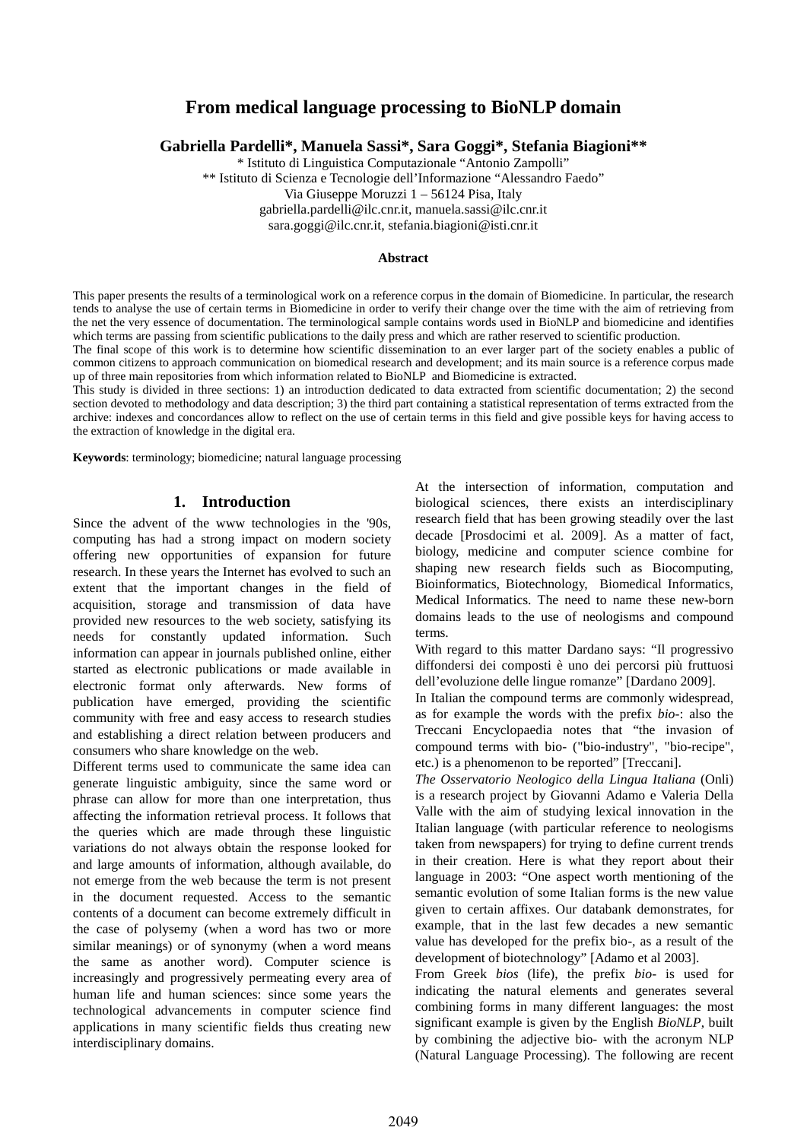# **From medical language processing to BioNLP domain**

**Gabriella Pardelli\*, Manuela Sassi\*, Sara Goggi\*, Stefania Biagioni\*\***

\* Istituto di Linguistica Computazionale "Antonio Zampolli"

\*\* Istituto di Scienza e Tecnologie dell'Informazione "Alessandro Faedo"

Via Giuseppe Moruzzi 1 – 56124 Pisa, Italy

[gabriella.pardelli@ilc.cnr.it,](mailto:sara.goggi@ilc.cnr.it) [manuela.sassi@ilc.cnr.it](mailto:manuela.sassi@ilc.cnr.it)

sara.goggi@ilc.cnr.it, stefania.biagioni@isti.cnr.it

### **Abstract**

This paper presents the results of a terminological work on a reference corpus in **t**he domain of Biomedicine. In particular, the research tends to analyse the use of certain terms in Biomedicine in order to verify their change over the time with the aim of retrieving from the net the very essence of documentation. The terminological sample contains words used in BioNLP and biomedicine and identifies which terms are passing from scientific publications to the daily press and which are rather reserved to scientific production.

The final scope of this work is to determine how scientific dissemination to an ever larger part of the society enables a public of common citizens to approach communication on biomedical research and development; and its main source is a reference corpus made up of three main repositories from which information related to BioNLP and Biomedicine is extracted.

This study is divided in three sections: 1) an introduction dedicated to data extracted from scientific documentation; 2) the second section devoted to methodology and data description; 3) the third part containing a statistical representation of terms extracted from the archive: indexes and concordances allow to reflect on the use of certain terms in this field and give possible keys for having access to the extraction of knowledge in the digital era.

**Keywords**: terminology; biomedicine; natural language processing

### **1. Introduction**

Since the advent of the www technologies in the '90s, computing has had a strong impact on modern society offering new opportunities of expansion for future research. In these years the Internet has evolved to such an extent that the important changes in the field of acquisition, storage and transmission of data have provided new resources to the web society, satisfying its needs for constantly updated information. Such information can appear in journals published online, either started as electronic publications or made available in electronic format only afterwards. New forms of publication have emerged, providing the scientific community with free and easy access to research studies and establishing a direct relation between producers and consumers who share knowledge on the web.

Different terms used to communicate the same idea can generate linguistic ambiguity, since the same word or phrase can allow for more than one interpretation, thus affecting the information retrieval process. It follows that the queries which are made through these linguistic variations do not always obtain the response looked for and large amounts of information, although available, do not emerge from the web because the term is not present in the document requested. Access to the semantic contents of a document can become extremely difficult in the case of polysemy (when a word has two or more similar meanings) or of synonymy (when a word means the same as another word). Computer science is increasingly and progressively permeating every area of human life and human sciences: since some years the technological advancements in computer science find applications in many scientific fields thus creating new interdisciplinary domains.

At the intersection of information, computation and biological sciences, there exists an interdisciplinary research field that has been growing steadily over the last decade [Prosdocimi et al. 2009]. As a matter of fact, biology, medicine and computer science combine for shaping new research fields such as Biocomputing, Bioinformatics, Biotechnology, Biomedical Informatics, Medical Informatics. The need to name these new-born domains leads to the use of neologisms and compound terms.

With regard to this matter Dardano says: "Il progressivo diffondersi dei composti è uno dei percorsi più fruttuosi dell'evoluzione delle lingue romanze" [Dardano 2009].

In Italian the compound terms are commonly widespread, as for example the words with the prefix *bio-*: also the Treccani Encyclopaedia notes that "the invasion of compound terms with bio- ("bio-industry", "bio-recipe", etc.) is a phenomenon to be reported" [Treccani].

*The Osservatorio Neologico della Lingua Italiana* (Onli) is a research project by Giovanni Adamo e Valeria Della Valle with the aim of studying lexical innovation in the Italian language (with particular reference to neologisms taken from newspapers) for trying to define current trends in their creation. Here is what they report about their language in 2003: "One aspect worth mentioning of the semantic evolution of some Italian forms is the new value given to certain affixes. Our databank demonstrates, for example, that in the last few decades a new semantic value has developed for the prefix bio-, as a result of the development of biotechnology" [Adamo et al 2003].

From Greek *bios* (life), the prefix *bio-* is used for indicating the natural elements and generates several combining forms in many different languages: the most significant example is given by the English *BioNLP*, built by combining the adjective bio- with the acronym NLP (Natural Language Processing). The following are recent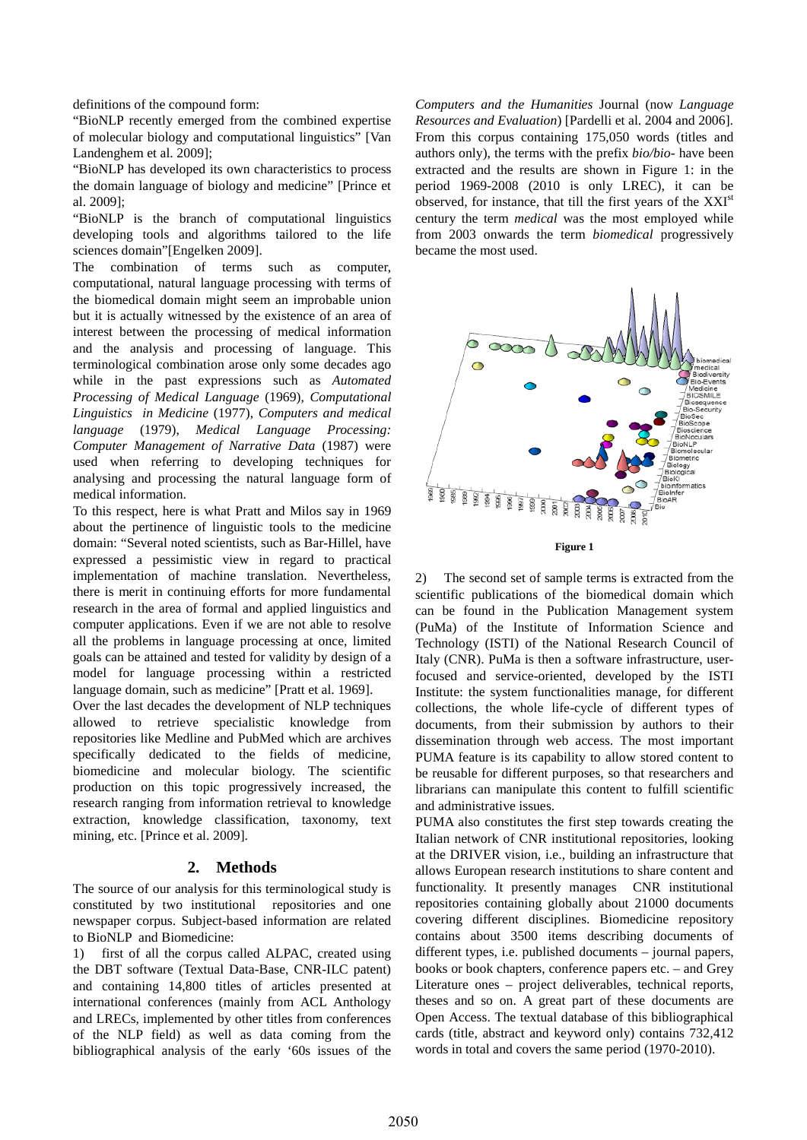definitions of the compound form:

"BioNLP recently emerged from the combined expertise of molecular biology and computational linguistics" [Van Landenghem et al. 2009];

"BioNLP has developed its own characteristics to process the domain language of biology and medicine" [Prince et al. 2009];

"BioNLP is the branch of computational linguistics developing tools and algorithms tailored to the life sciences domain"[Engelken 2009].

The combination of terms such as computer, computational, natural language processing with terms of the biomedical domain might seem an improbable union but it is actually witnessed by the existence of an area of interest between the processing of medical information and the analysis and processing of language. This terminological combination arose only some decades ago while in the past expressions such as *Automated Processing of Medical Language* (1969), *Computational Linguistics in Medicine* (1977), *Computers and medical language* (1979), *Medical Language Processing: Computer Management of Narrative Data* (1987) were used when referring to developing techniques for analysing and processing the natural language form of medical information.

To this respect, here is what Pratt and Milos say in 1969 about the pertinence of linguistic tools to the medicine domain: "Several noted scientists, such as Bar-Hillel, have expressed a pessimistic view in regard to practical implementation of machine translation. Nevertheless, there is merit in continuing efforts for more fundamental research in the area of formal and applied linguistics and computer applications. Even if we are not able to resolve all the problems in language processing at once, limited goals can be attained and tested for validity by design of a model for language processing within a restricted language domain, such as medicine" [Pratt et al. 1969].

Over the last decades the development of NLP techniques allowed to retrieve specialistic knowledge from repositories like Medline and PubMed which are archives specifically dedicated to the fields of medicine, biomedicine and molecular biology. The scientific production on this topic progressively increased, the research ranging from information retrieval to knowledge extraction, knowledge classification, taxonomy, text mining, etc. [Prince et al. 2009].

## **2. Methods**

The source of our analysis for this terminological study is constituted by two institutional repositories and one newspaper corpus. Subject-based information are related to BioNLP and Biomedicine:

1) first of all the corpus called ALPAC, created using the DBT software (Textual Data-Base, CNR-ILC patent) and containing 14,800 titles of articles presented at international conferences (mainly from ACL Anthology and LRECs, implemented by other titles from conferences of the NLP field) as well as data coming from the bibliographical analysis of the early '60s issues of the

*Computers and the Humanities* Journal (now *Language Resources and Evaluation*) [Pardelli et al. 2004 and 2006]. From this corpus containing 175,050 words (titles and authors only), the terms with the prefix *bio/bio-* have been extracted and the results are shown in Figure 1: in the period 1969-2008 (2010 is only LREC), it can be observed, for instance, that till the first years of the XXI<sup>st</sup> century the term *medical* was the most employed while from 2003 onwards the term *biomedical* progressively became the most used.



**Figure 1**

2) The second set of sample terms is extracted from the scientific publications of the biomedical domain which can be found in the Publication Management system (PuMa) of the Institute of Information Science and Technology (ISTI) of the National Research Council of Italy (CNR). PuMa is then a software infrastructure, userfocused and service-oriented, developed by the ISTI Institute: the system functionalities manage, for different collections, the whole life-cycle of different types of documents, from their submission by authors to their dissemination through web access. The most important PUMA feature is its capability to allow stored content to be reusable for different purposes, so that researchers and librarians can manipulate this content to fulfill scientific and administrative issues.

PUMA also constitutes the first step towards creating the Italian network of CNR institutional repositories, looking at the DRIVER vision, i.e., building an infrastructure that allows European research institutions to share content and functionality. It presently manages CNR institutional repositories containing globally about 21000 documents covering different disciplines. Biomedicine repository contains about 3500 items describing documents of different types, i.e. published documents – journal papers, books or book chapters, conference papers etc. – and Grey Literature ones – project deliverables, technical reports, theses and so on. A great part of these documents are Open Access. The textual database of this bibliographical cards (title, abstract and keyword only) contains 732,412 words in total and covers the same period (1970-2010).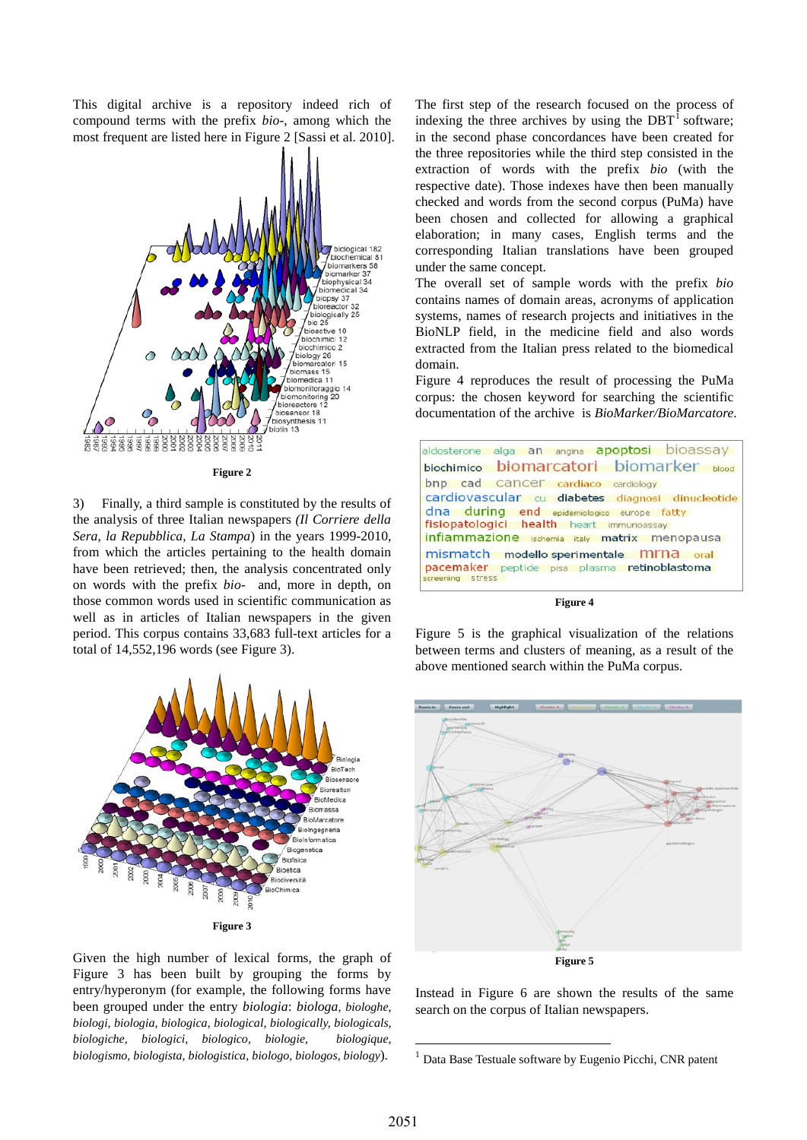This digital archive is a repository indeed rich of compound terms with the prefix *bio-*, among which the most frequent are listed here in Figure 2 [Sassi et al. 2010].



**Figure 2**

3) Finally, a third sample is constituted by the results of the analysis of three Italian newspapers *(Il Corriere della Sera*, *la Repubblica*, *La Stampa*) in the years 1999-2010, from which the articles pertaining to the health domain have been retrieved; then, the analysis concentrated only on words with the prefix *bio-* and, more in depth, on those common words used in scientific communication as well as in articles of Italian newspapers in the given period. This corpus contains 33,683 full-text articles for a total of 14,552,196 words (see Figure 3).



<span id="page-2-0"></span>Given the high number of lexical forms, the graph of Figure 3 has been built by grouping the forms by entry/hyperonym (for example, the following forms have been grouped under the entry *biologia*: *biologa, biologhe, biologi, biologia, biologica, biological, biologically, biologicals, biologiche, biologici, biologico, biologie, biologique, biologismo, biologista, biologistica, biologo, biologos, biology*).

The first step of the research focused on the process of indexing the three archives by using the  $DBT<sup>1</sup>$  $DBT<sup>1</sup>$  $DBT<sup>1</sup>$  software; in the second phase concordances have been created for the three repositories while the third step consisted in the extraction of words with the prefix *bio* (with the respective date). Those indexes have then been manually checked and words from the second corpus (PuMa) have been chosen and collected for allowing a graphical elaboration; in many cases, English terms and the corresponding Italian translations have been grouped under the same concept.

The overall set of sample words with the prefix *bio* contains names of domain areas, acronyms of application systems, names of research projects and initiatives in the BioNLP field, in the medicine field and also words extracted from the Italian press related to the biomedical domain.

Figure 4 reproduces the result of processing the PuMa corpus: the chosen keyword for searching the scientific documentation of the archive is *BioMarker/BioMarcatore*.



**Figure 4**

Figure 5 is the graphical visualization of the relations between terms and clusters of meaning, as a result of the above mentioned search within the PuMa corpus.



Instead in Figure 6 are shown the results of the same search on the corpus of Italian newspapers.

-

<sup>1</sup> Data Base Testuale software by Eugenio Picchi, CNR patent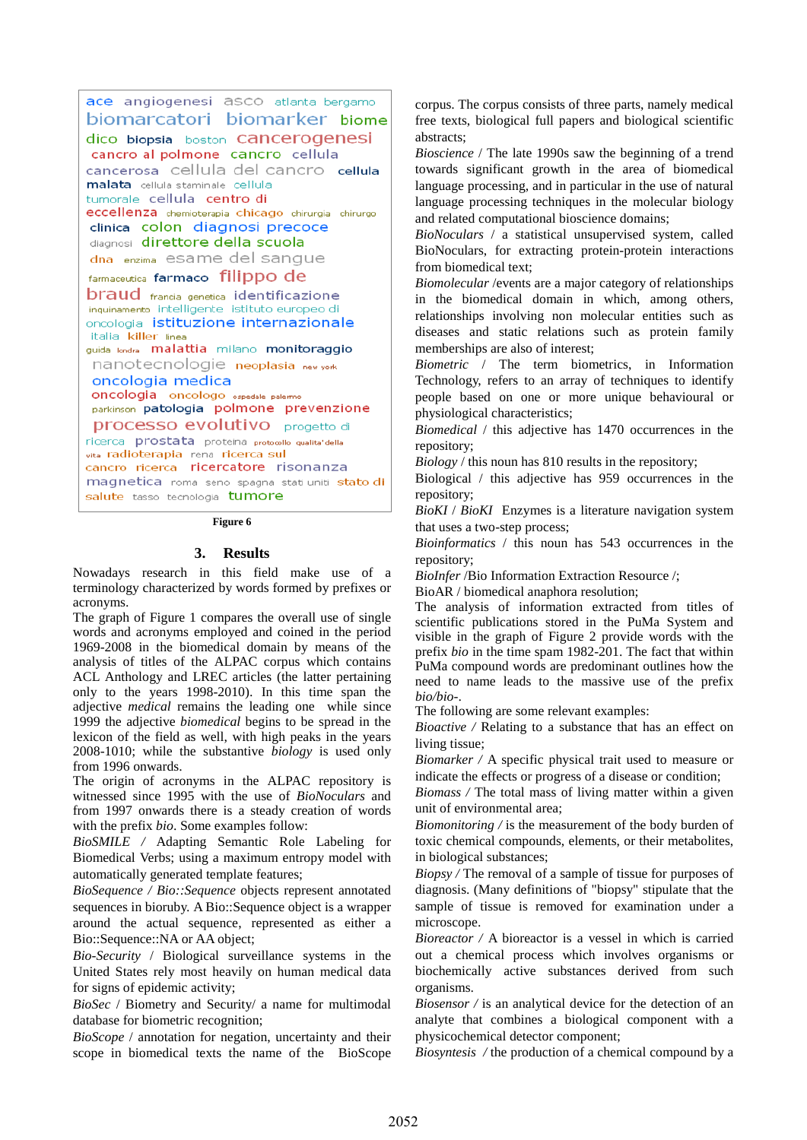ace angiogenesi asco atlanta bergamo biomarcatori biomarker biome dico biopsia boston Cancerogenesi cancro al polmone cancro cellula cancerosa cellula del cancro cellula malata cellula staminale cellula tumorale cellula centro di eccellenza chemioterapia chicago chirurgia chirurgo clinica colon diagnosi precoce diagnosi direttore della scuola dna enzima esame del sangue farmaceutica farmaco filippo de **braud** francia genetica identificazione inquinamento intelligente istituto europeo di oncologia istituzione internazionale italia killer linea guida londra malattia milano monitoraggio nanotecnologie neoplasia new vork oncologia medica **oncologia** oncologo ospedale palermo parkinson patologia polmone prevenzione **processo evolutivo** progetto di ricerca prostata proteina protocollo qualita' della vita radioterapia rena ricerca sul cancro ricerca ricercatore risonanza magnetica roma seno spagna stati uniti stato di salute tasso tecnologia tumore

#### **Figure 6**

### **3. Results**

Nowadays research in this field make use of a terminology characterized by words formed by prefixes or acronyms.

The graph of Figure 1 compares the overall use of single words and acronyms employed and coined in the period 1969-2008 in the biomedical domain by means of the analysis of titles of the ALPAC corpus which contains ACL Anthology and LREC articles (the latter pertaining only to the years 1998-2010). In this time span the adjective *medical* remains the leading one while since 1999 the adjective *biomedical* begins to be spread in the lexicon of the field as well, with high peaks in the years 2008-1010; while the substantive *biology* is used only from 1996 onwards.

The origin of acronyms in the ALPAC repository is witnessed since 1995 with the use of *BioNoculars* and from 1997 onwards there is a steady creation of words with the prefix *bio*. Some examples follow:

*BioSMILE /* Adapting Semantic Role Labeling for Biomedical Verbs; using a maximum entropy model with automatically generated template features;

*BioSequence / Bio::Sequence* objects represent annotated sequences in bioruby. A Bio::Sequence object is a wrapper around the actual sequence, represented as either a Bio::Sequence::NA or AA object;

*Bio-Security* / Biological surveillance systems in the United States rely most heavily on human medical data for signs of epidemic activity;

*BioSec* / Biometry and Security/ a name for multimodal database for biometric recognition;

*BioScope* / annotation for negation, uncertainty and their scope in biomedical texts the name of the BioScope corpus. The corpus consists of three parts, namely medical free texts, biological full papers and biological scientific abstracts;

*Bioscience* / The late 1990s saw the beginning of a trend towards significant growth in the area of biomedical language processing, and in particular in the use of natural language processing techniques in the molecular biology and related computational bioscience domains;

*BioNoculars* / a statistical unsupervised system, called BioNoculars, for extracting protein-protein interactions from biomedical text;

*Biomolecular* /events are a major category of relationships in the biomedical domain in which, among others, relationships involving non molecular entities such as diseases and static relations such as protein family memberships are also of interest;

*Biometric* / The term biometrics, in Information Technology, refers to an array of techniques to identify people based on one or more unique behavioural or physiological characteristics;

*Biomedical* / this adjective has 1470 occurrences in the repository;

*Biology* / this noun has 810 results in the repository;

Biological / this adjective has 959 occurrences in the repository;

*BioKI* / *BioKI* Enzymes is a literature navigation system that uses a two-step process;

*Bioinformatics* / this noun has 543 occurrences in the repository;

*BioInfer* /Bio Information Extraction Resource /;

BioAR / biomedical anaphora resolution;

The analysis of information extracted from titles of scientific publications stored in the PuMa System and visible in the graph of Figure 2 provide words with the prefix *bio* in the time spam 1982-201. The fact that within PuMa compound words are predominant outlines how the need to name leads to the massive use of the prefix *bio/bio-*.

The following are some relevant examples:

*Bioactive /* Relating to a substance that has an effect on living tissue;

*Biomarker /* A specific physical trait used to measure or indicate the effects or progress of a disease or condition;

*Biomass /* The total mass of living matter within a given unit of environmental area;

*Biomonitoring /* is the measurement of the body burden of toxic chemical compounds, elements, or their metabolites, in biological substances;

*Biopsy /* The removal of a sample of tissue for purposes of diagnosis. (Many definitions of "biopsy" stipulate that the sample of tissue is removed for examination under a microscope.

*Bioreactor /* A bioreactor is a vessel in which is carried out a chemical process which involves organisms or biochemically active substances derived from such organisms.

*Biosensor /* is an analytical device for the detection of an analyte that combines a biological component with a physicochemical detector component;

*Biosyntesis /* the production of a chemical compound by a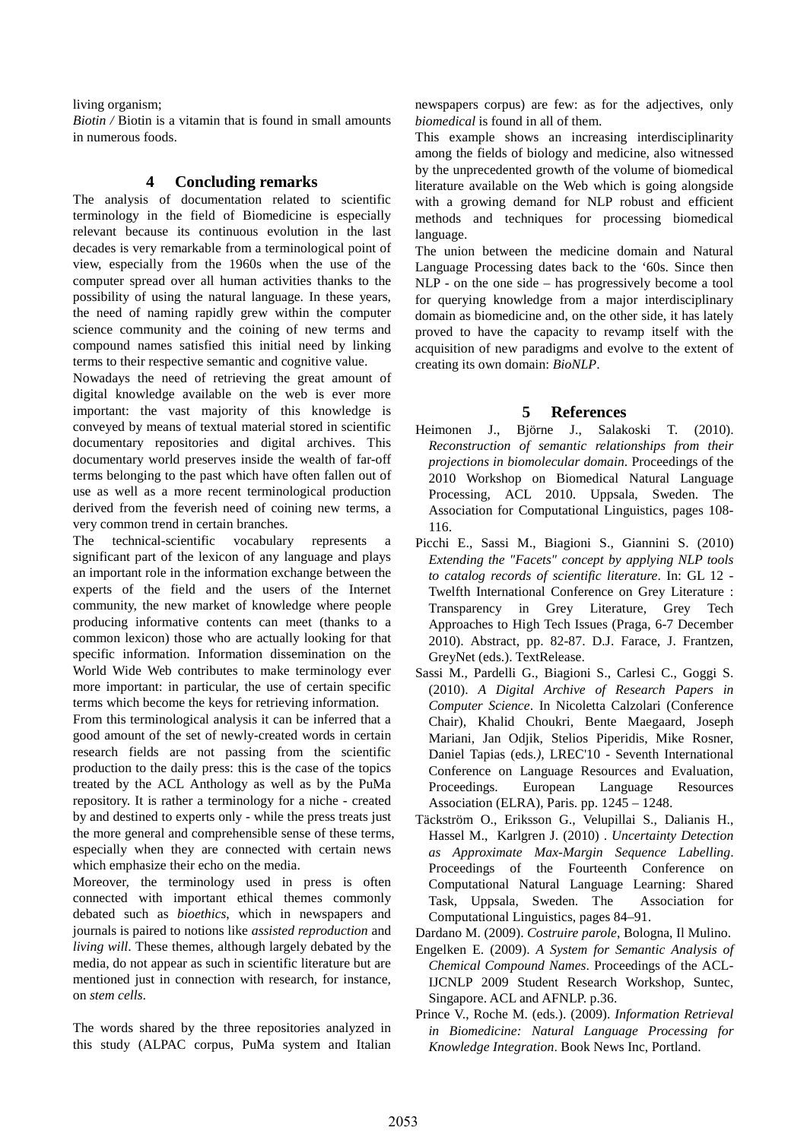living organism;

*Biotin /* Biotin is a vitamin that is found in small amounts in numerous foods.

## **4 Concluding remarks**

The analysis of documentation related to scientific terminology in the field of Biomedicine is especially relevant because its continuous evolution in the last decades is very remarkable from a terminological point of view, especially from the 1960s when the use of the computer spread over all human activities thanks to the possibility of using the natural language. In these years, the need of naming rapidly grew within the computer science community and the coining of new terms and compound names satisfied this initial need by linking terms to their respective semantic and cognitive value.

Nowadays the need of retrieving the great amount of digital knowledge available on the web is ever more important: the vast majority of this knowledge is conveyed by means of textual material stored in scientific documentary repositories and digital archives. This documentary world preserves inside the wealth of far-off terms belonging to the past which have often fallen out of use as well as a more recent terminological production derived from the feverish need of coining new terms, a very common trend in certain branches.

The technical-scientific vocabulary represents a significant part of the lexicon of any language and plays an important role in the information exchange between the experts of the field and the users of the Internet community, the new market of knowledge where people producing informative contents can meet (thanks to a common lexicon) those who are actually looking for that specific information. Information dissemination on the World Wide Web contributes to make terminology ever more important: in particular, the use of certain specific terms which become the keys for retrieving information.

From this terminological analysis it can be inferred that a good amount of the set of newly-created words in certain research fields are not passing from the scientific production to the daily press: this is the case of the topics treated by the ACL Anthology as well as by the PuMa repository. It is rather a terminology for a niche - created by and destined to experts only - while the press treats just the more general and comprehensible sense of these terms, especially when they are connected with certain news which emphasize their echo on the media.

Moreover, the terminology used in press is often connected with important ethical themes commonly debated such as *bioethics*, which in newspapers and journals is paired to notions like *assisted reproduction* and *living will*. These themes, although largely debated by the media, do not appear as such in scientific literature but are mentioned just in connection with research, for instance, on *stem cells*.

The words shared by the three repositories analyzed in this study (ALPAC corpus, PuMa system and Italian newspapers corpus) are few: as for the adjectives, only *biomedical* is found in all of them.

This example shows an increasing interdisciplinarity among the fields of biology and medicine, also witnessed by the unprecedented growth of the volume of biomedical literature available on the Web which is going alongside with a growing demand for NLP robust and efficient methods and techniques for processing biomedical language.

The union between the medicine domain and Natural Language Processing dates back to the '60s. Since then NLP - on the one side – has progressively become a tool for querying knowledge from a major interdisciplinary domain as biomedicine and, on the other side, it has lately proved to have the capacity to revamp itself with the acquisition of new paradigms and evolve to the extent of creating its own domain: *BioNLP*.

## **5 References**

- Heimonen J., Björne J., Salakoski T. (2010). *Reconstruction of semantic relationships from their projections in biomolecular domain*. Proceedings of the 2010 Workshop on Biomedical Natural Language Processing, ACL 2010. Uppsala, Sweden. The Association for Computational Linguistics, pages 108- 116.
- Picchi E., Sassi M., Biagioni S., Giannini S. (2010) *Extending the "Facets" concept by applying NLP tools to catalog records of scientific literature*. In: GL 12 - Twelfth International Conference on Grey Literature : Transparency in Grey Literature, Grey Tech Approaches to High Tech Issues (Praga, 6-7 December 2010). Abstract, pp. 82-87. D.J. Farace, J. Frantzen, GreyNet (eds.). TextRelease.
- Sassi M., Pardelli G., Biagioni S., Carlesi C., Goggi S. (2010). *A Digital Archive of Research Papers in Computer Science*. In Nicoletta Calzolari (Conference Chair), Khalid Choukri, Bente Maegaard, Joseph Mariani, Jan Odjik, Stelios Piperidis, Mike Rosner, Daniel Tapias (eds*.),* LREC'10 - Seventh International Conference on Language Resources and Evaluation, Proceedings. European Language Resources Association (ELRA), Paris. pp. 1245 – 1248.
- Täckström O., Eriksson G., Velupillai S., Dalianis H., Hassel M., Karlgren J. (2010) . *Uncertainty Detection as Approximate Max-Margin Sequence Labelling*. Proceedings of the Fourteenth Conference on Computational Natural Language Learning: Shared Task, Uppsala, Sweden. The Association for Computational Linguistics, pages 84–91.

Dardano M. (2009). *Costruire parole*, Bologna, Il Mulino.

- Engelken E. (2009). *A System for Semantic Analysis of Chemical Compound Names*. Proceedings of the ACL-IJCNLP 2009 Student Research Workshop, Suntec, Singapore. ACL and AFNLP. p.36.
- Prince V., Roche M. (eds.). (2009). *Information Retrieval in Biomedicine: Natural Language Processing for Knowledge Integration*. Book News Inc, Portland.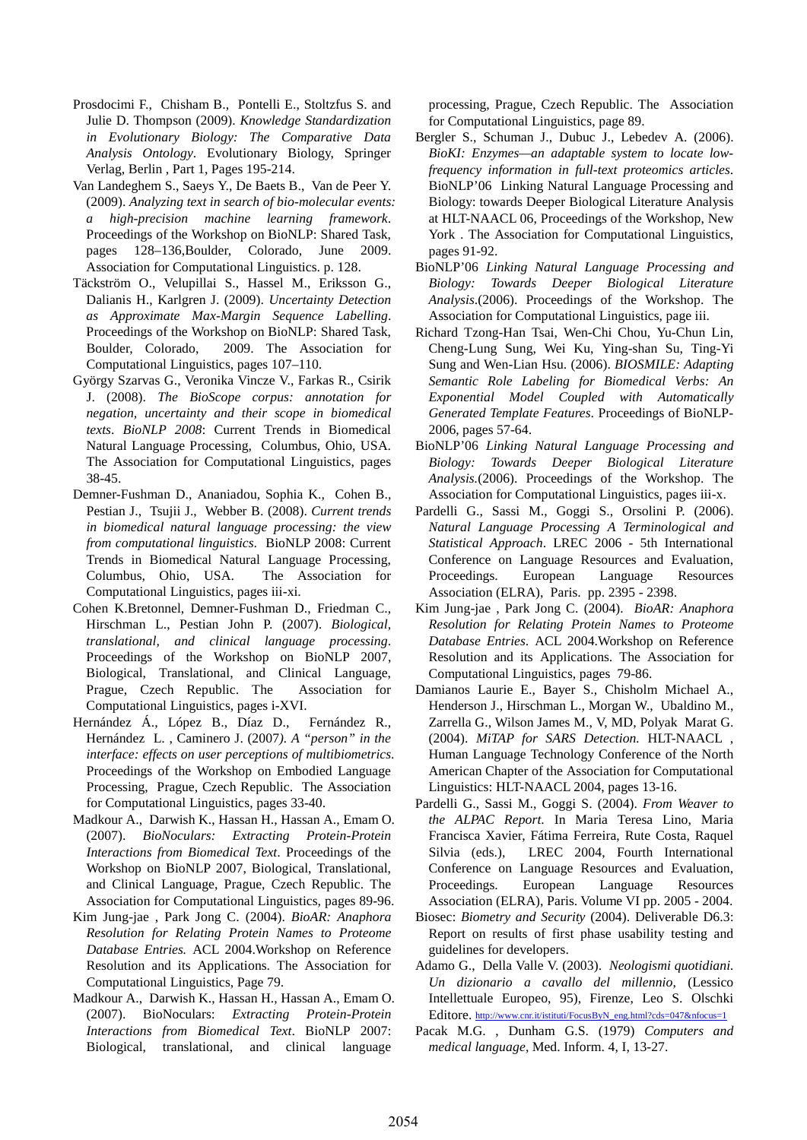- Prosdocimi F., Chisham B., Pontelli E., Stoltzfus S. and Julie D. Thompson (2009). *Knowledge Standardization in Evolutionary Biology: The Comparative Data Analysis Ontology*. Evolutionary Biology, Springer Verlag, Berlin , Part 1, Pages 195-214.
- Van Landeghem S., Saeys Y., De Baets B., Van de Peer Y. (2009). *Analyzing text in search of bio-molecular events: a high-precision machine learning framework*. Proceedings of the Workshop on BioNLP: Shared Task, pages 128–136,Boulder, Colorado, June 2009. Association for Computational Linguistics. p. 128.
- Täckström O., Velupillai S., Hassel M., Eriksson G., Dalianis H., Karlgren J. (2009). *Uncertainty Detection as Approximate Max-Margin Sequence Labelling*. Proceedings of the Workshop on BioNLP: Shared Task, Boulder, Colorado, 2009. The Association for Computational Linguistics, pages 107–110.
- György Szarvas G., Veronika Vincze V., Farkas R., Csirik J. (2008). *The BioScope corpus: annotation for negation, uncertainty and their scope in biomedical texts*. *BioNLP 2008*: Current Trends in Biomedical Natural Language Processing, Columbus, Ohio, USA. The Association for Computational Linguistics, pages 38-45.
- Demner-Fushman D., Ananiadou, Sophia K., Cohen B., Pestian J., Tsujii J., Webber B. (2008). *Current trends in biomedical natural language processing: the view from computational linguistics*. BioNLP 2008: Current Trends in Biomedical Natural Language Processing, Columbus, Ohio, USA. The Association for Computational Linguistics, pages iii-xi.
- Cohen K.Bretonnel, Demner-Fushman D., Friedman C., Hirschman L., Pestian John P. (2007). *Biological, translational, and clinical language processing*. Proceedings of the Workshop on BioNLP 2007, Biological, Translational, and Clinical Language, Prague, Czech Republic. The Association for Computational Linguistics, pages i-XVI.
- Hernández Á., López B., Díaz D., Fernández R., Hernández L. , Caminero J. (2007*). A "person" in the interface: effects on user perceptions of multibiometrics*. Proceedings of the Workshop on Embodied Language Processing, Prague, Czech Republic. The Association for Computational Linguistics, pages 33-40.
- Madkour A., Darwish K., Hassan H., Hassan A., Emam O. (2007). *BioNoculars: Extracting Protein-Protein Interactions from Biomedical Text*. Proceedings of the Workshop on BioNLP 2007, Biological, Translational, and Clinical Language, Prague, Czech Republic. The Association for Computational Linguistics, pages 89-96.
- Kim Jung-jae , Park Jong C. (2004). *BioAR: Anaphora Resolution for Relating Protein Names to Proteome Database Entries.* ACL 2004.Workshop on Reference Resolution and its Applications. The Association for Computational Linguistics, Page 79.
- Madkour A., Darwish K., Hassan H., Hassan A., Emam O. (2007). BioNoculars: *Extracting Protein-Protein Interactions from Biomedical Text*. BioNLP 2007: Biological, translational, and clinical language

processing, Prague, Czech Republic. The Association for Computational Linguistics, page 89.

- Bergler S., Schuman J., Dubuc J., Lebedev A. (2006). *BioKI: Enzymes—an adaptable system to locate lowfrequency information in full-text proteomics articles*. BioNLP'06 Linking Natural Language Processing and Biology: towards Deeper Biological Literature Analysis at HLT-NAACL 06, Proceedings of the Workshop, New York . The Association for Computational Linguistics, pages 91-92.
- BioNLP'06 *Linking Natural Language Processing and Biology: Towards Deeper Biological Literature Analysis*.(2006). Proceedings of the Workshop. The Association for Computational Linguistics, page iii.
- Richard Tzong-Han Tsai, Wen-Chi Chou, Yu-Chun Lin, Cheng-Lung Sung, Wei Ku, Ying-shan Su, Ting-Yi Sung and Wen-Lian Hsu. (2006). *BIOSMILE: Adapting Semantic Role Labeling for Biomedical Verbs: An Exponential Model Coupled with Automatically Generated Template Features*. Proceedings of BioNLP-2006, pages 57-64.
- BioNLP'06 *Linking Natural Language Processing and Biology: Towards Deeper Biological Literature Analysis.*(2006). Proceedings of the Workshop. The Association for Computational Linguistics, pages iii-x.
- Pardelli G., Sassi M., Goggi S., Orsolini P. (2006). *Natural Language Processing A Terminological and Statistical Approach*. LREC 2006 - 5th International Conference on Language Resources and Evaluation, Proceedings. European Language Resources Association (ELRA), Paris. pp. 2395 - 2398.
- Kim Jung-jae , Park Jong C. (2004). *BioAR: Anaphora Resolution for Relating Protein Names to Proteome Database Entries*. ACL 2004.Workshop on Reference Resolution and its Applications. The Association for Computational Linguistics, pages 79-86.
- Damianos Laurie E., Bayer S., Chisholm Michael A., Henderson J., Hirschman L., Morgan W., Ubaldino M., Zarrella G., Wilson James M., V, MD, Polyak Marat G. (2004). *MiTAP for SARS Detection.* HLT-NAACL , Human Language Technology Conference of the North American Chapter of the Association for Computational Linguistics: HLT-NAACL 2004, pages 13-16.
- Pardelli G., Sassi M., Goggi S. (2004). *From Weaver to the ALPAC Report*. In Maria Teresa Lino, Maria Francisca Xavier, Fátima Ferreira, Rute Costa, Raquel Silvia (eds.), LREC 2004, Fourth International Conference on Language Resources and Evaluation, Proceedings. European Language Resources Association (ELRA), Paris. Volume VI pp. 2005 - 2004.
- Biosec: *Biometry and Security* (2004). Deliverable D6.3: Report on results of first phase usability testing and guidelines for developers.
- Adamo G., Della Valle V. (2003). *Neologismi quotidiani. Un dizionario a cavallo del millennio*, (Lessico Intellettuale Europeo, 95), Firenze, Leo S. Olschki Editore. [http://www.cnr.it/istituti/FocusByN\\_eng.html?cds=047&nfocus=1](http://www.cnr.it/istituti/FocusByN_eng.html?cds=047&nfocus=1)
- Pacak M.G. , Dunham G.S. (1979) *Computers and medical language*, Med. Inform. 4, I, 13-27.